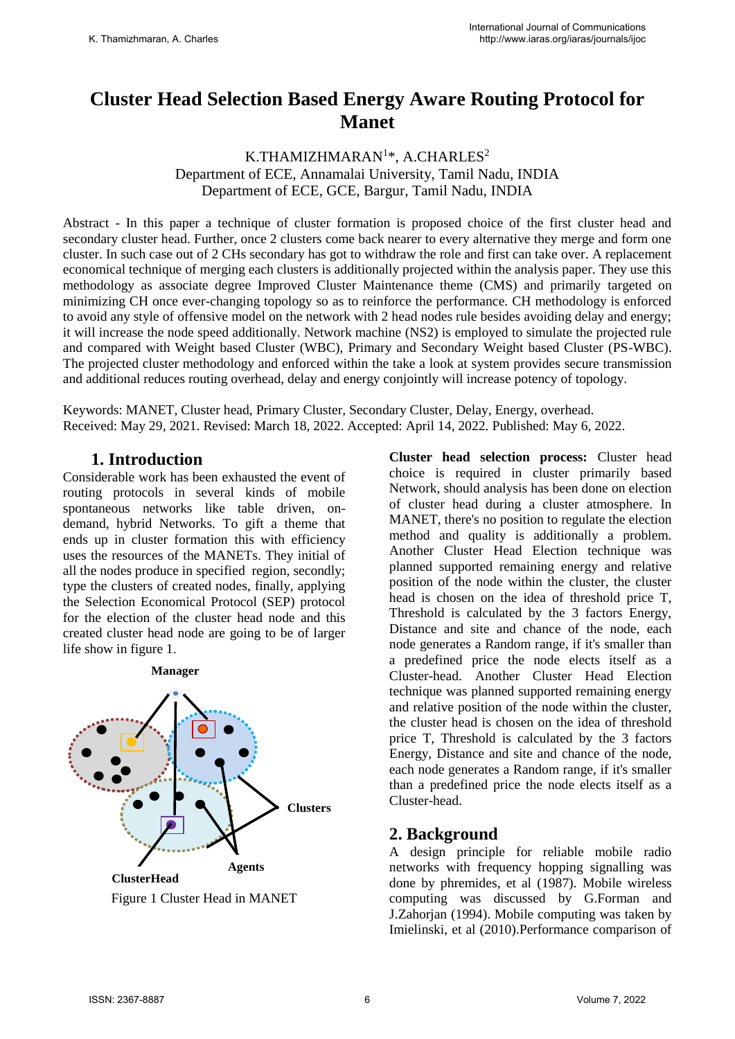# **Cluster Head Selection Based Energy Aware Routing Protocol for Manet**

### K.THAMIZHMARAN $^{1*}$ , A.CHARLES<sup>2</sup> Department of ECE, Annamalai University, Tamil Nadu, INDIA Department of ECE, GCE, Bargur, Tamil Nadu, INDIA

Abstract - In this paper a technique of cluster formation is proposed choice of the first cluster head and secondary cluster head. Further, once 2 clusters come back nearer to every alternative they merge and form one cluster. In such case out of 2 CHs secondary has got to withdraw the role and first can take over. A replacement economical technique of merging each clusters is additionally projected within the analysis paper. They use this methodology as associate degree Improved Cluster Maintenance theme (CMS) and primarily targeted on minimizing CH once ever-changing topology so as to reinforce the performance. CH methodology is enforced to avoid any style of offensive model on the network with 2 head nodes rule besides avoiding delay and energy; it will increase the node speed additionally. Network machine (NS2) is employed to simulate the projected rule and compared with Weight based Cluster (WBC), Primary and Secondary Weight based Cluster (PS-WBC). The projected cluster methodology and enforced within the take a look at system provides secure transmission and additional reduces routing overhead, delay and energy conjointly will increase potency of topology.

Keywords: MANET, Cluster head, Primary Cluster, Secondary Cluster, Delay, Energy, overhead. Received: May 29, 2021. Revised: March 18, 2022. Accepted: April 14, 2022. Published: May 6, 2022.

### **1. Introduction**

Considerable work has been exhausted the event of routing protocols in several kinds of mobile spontaneous networks like table driven, ondemand, hybrid Networks. To gift a theme that ends up in cluster formation this with efficiency uses the resources of the MANETs. They initial of all the nodes produce in specified region, secondly; type the clusters of created nodes, finally, applying the Selection Economical Protocol (SEP) protocol for the election of the cluster head node and this created cluster head node are going to be of larger life show in figure 1.



Figure 1 Cluster Head in MANET

**Cluster head selection process:** Cluster head choice is required in cluster primarily based Network, should analysis has been done on election of cluster head during a cluster atmosphere. In MANET, there's no position to regulate the election method and quality is additionally a problem. Another Cluster Head Election technique was planned supported remaining energy and relative position of the node within the cluster, the cluster head is chosen on the idea of threshold price T, Threshold is calculated by the 3 factors Energy, Distance and site and chance of the node, each node generates a Random range, if it's smaller than a predefined price the node elects itself as a Cluster-head. Another Cluster Head Election technique was planned supported remaining energy and relative position of the node within the cluster, the cluster head is chosen on the idea of threshold price T, Threshold is calculated by the 3 factors Energy, Distance and site and chance of the node, each node generates a Random range, if it's smaller than a predefined price the node elects itself as a Cluster-head.

### **2. Background**

A design principle for reliable mobile radio networks with frequency hopping signalling was done by phremides, et al (1987). Mobile wireless computing was discussed by G.Forman and J.Zahorjan (1994). Mobile computing was taken by Imielinski, et al (2010).Performance comparison of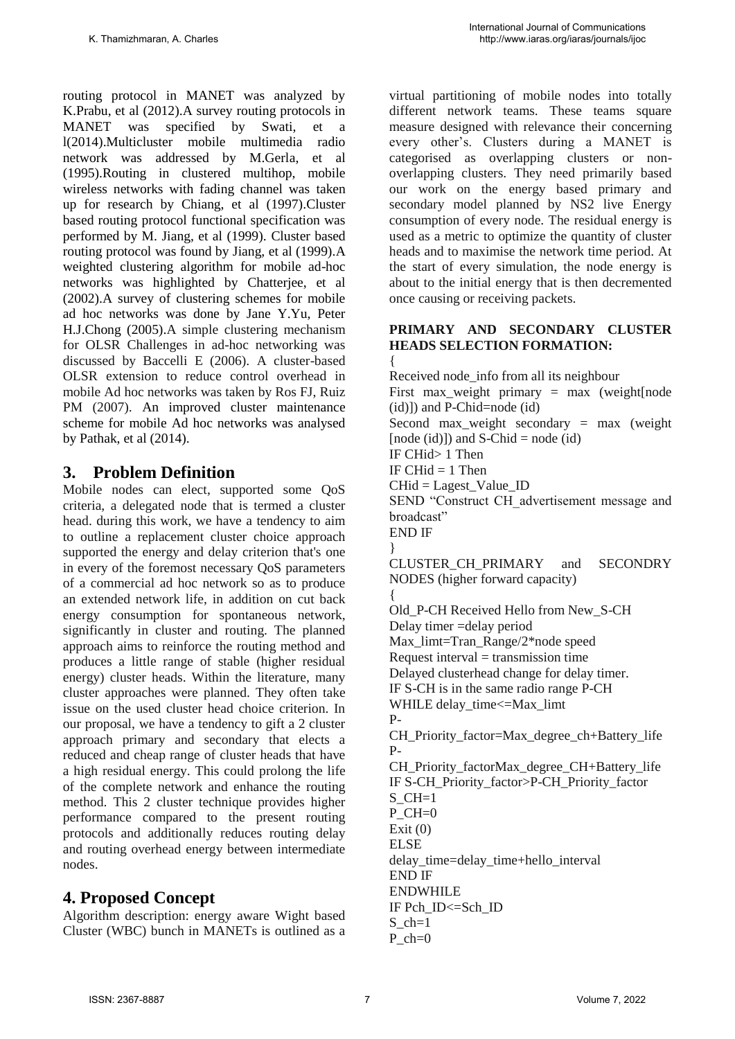routing protocol in MANET was analyzed by K.Prabu, et al (2012).A survey routing protocols in MANET was specified by Swati, et a l(2014).Multicluster mobile multimedia radio network was addressed by M.Gerla, et al (1995).Routing in clustered multihop, mobile wireless networks with fading channel was taken up for research by Chiang, et al (1997).Cluster based routing protocol functional specification was performed by M. Jiang, et al (1999). Cluster based routing protocol was found by Jiang, et al (1999).A weighted clustering algorithm for mobile ad-hoc networks was highlighted by Chatterjee, et al (2002).A survey of clustering schemes for mobile ad hoc networks was done by Jane Y.Yu, Peter H.J.Chong (2005).A simple clustering mechanism for OLSR Challenges in ad-hoc networking was discussed by Baccelli E (2006). A cluster-based OLSR extension to reduce control overhead in mobile Ad hoc networks was taken by Ros FJ, Ruiz PM (2007). An improved cluster maintenance scheme for mobile Ad hoc networks was analysed by Pathak, et al (2014).

## **3. Problem Definition**

Mobile nodes can elect, supported some QoS criteria, a delegated node that is termed a cluster head. during this work, we have a tendency to aim to outline a replacement cluster choice approach supported the energy and delay criterion that's one in every of the foremost necessary QoS parameters of a commercial ad hoc network so as to produce an extended network life, in addition on cut back energy consumption for spontaneous network, significantly in cluster and routing. The planned approach aims to reinforce the routing method and produces a little range of stable (higher residual energy) cluster heads. Within the literature, many cluster approaches were planned. They often take issue on the used cluster head choice criterion. In our proposal, we have a tendency to gift a 2 cluster approach primary and secondary that elects a reduced and cheap range of cluster heads that have a high residual energy. This could prolong the life of the complete network and enhance the routing method. This 2 cluster technique provides higher performance compared to the present routing protocols and additionally reduces routing delay and routing overhead energy between intermediate nodes.

## **4. Proposed Concept**

Algorithm description: energy aware Wight based Cluster (WBC) bunch in MANETs is outlined as a virtual partitioning of mobile nodes into totally different network teams. These teams square measure designed with relevance their concerning every other's. Clusters during a MANET is categorised as overlapping clusters or nonoverlapping clusters. They need primarily based our work on the energy based primary and secondary model planned by NS2 live Energy consumption of every node. The residual energy is used as a metric to optimize the quantity of cluster heads and to maximise the network time period. At the start of every simulation, the node energy is about to the initial energy that is then decremented once causing or receiving packets.

### **PRIMARY AND SECONDARY CLUSTER HEADS SELECTION FORMATION:**

{ Received node\_info from all its neighbour First max weight primary  $=$  max (weight[node (id)]) and P-Chid=node (id) Second max\_weight secondary = max (weight [node (id)]) and  $S$ -Chid = node (id) IF CHid> 1 Then IF CH $id = 1$  Then  $CHid = \text{Lagest Value ID}$ SEND "Construct CH\_advertisement message and broadcast" END IF } CLUSTER CH\_PRIMARY and SECONDRY NODES (higher forward capacity) { Old\_P-CH Received Hello from New\_S-CH Delay timer =delay period Max\_limt=Tran\_Range/2\*node speed Request interval  $=$  transmission time Delayed clusterhead change for delay timer. IF S-CH is in the same radio range P-CH WHILE delay\_time<=Max\_limt P-CH\_Priority\_factor=Max\_degree\_ch+Battery\_life P-CH\_Priority\_factorMax\_degree\_CH+Battery\_life IF S-CH\_Priority\_factor>P-CH\_Priority\_factor  $S$  CH=1  $P$  CH=0 Exit  $(0)$ ELSE delay\_time=delay\_time+hello\_interval END IF ENDWHILE IF Pch\_ID<=Sch\_ID S  $ch=1$  $P$  ch=0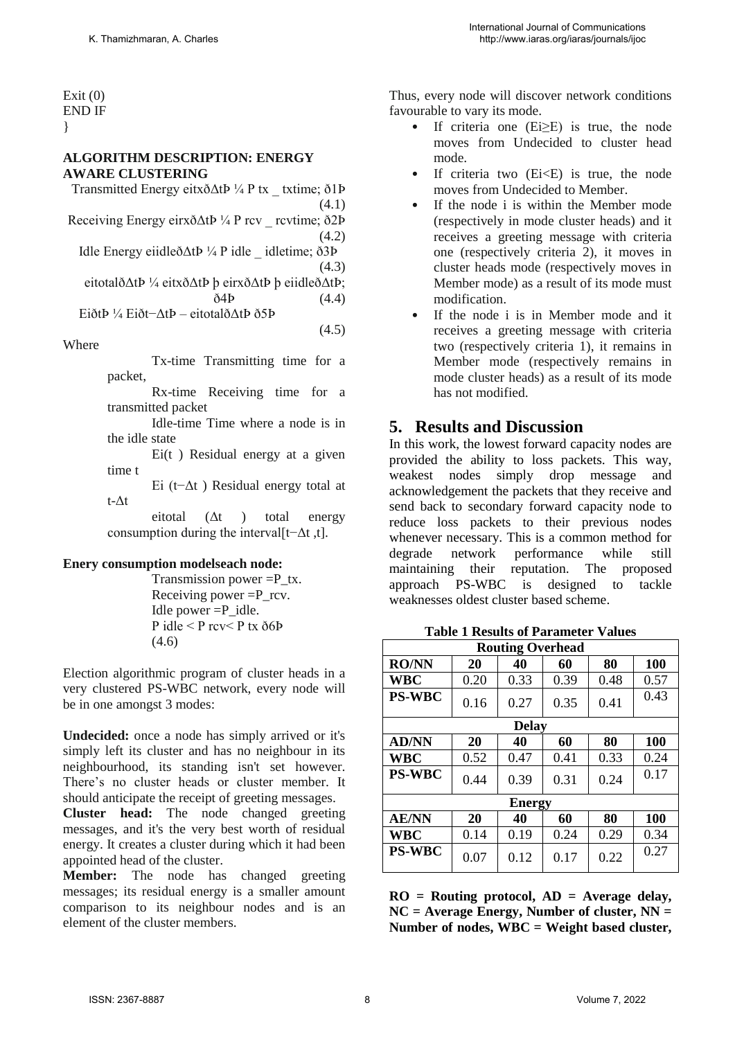Exit  $(0)$ END IF }

#### **ALGORITHM DESCRIPTION: ENERGY AWARE CLUSTERING**

Transmitted Energy eitxðΔtÞ ¼ P tx \_ txtime; ð1Þ (4.1) Receiving Energy eirxðΔtÞ ¼ P rcv \_ rcvtime; ð2Þ (4.2) Idle Energy eiidleðΔtÞ ¼ P idle \_ idletime; ð3Þ (4.3) eitotalðΔtÞ ¼ eitxðΔtÞ þ eirxðΔtÞ þ eiidleðΔtÞ; ð4Þ (4.4)

EiðtÞ ¼ Eiðt−ΔtÞ – eitotalðΔtÞ ð5Þ

Where

Tx-time Transmitting time for a packet,

 $(4.5)$ 

Rx-time Receiving time for a transmitted packet

Idle-time Time where a node is in the idle state

Ei(t ) Residual energy at a given time t

Ei (t−Δt ) Residual energy total at t-Δt

eitotal  $(\Delta t)$  total energy consumption during the interval[t−Δt ,t].

#### **Enery consumption modelseach node:**

Transmission power  $=$ P\_tx. Receiving power  $=$ P\_rcv. Idle power  $=$ P idle. P idle < P rcv< P tx ð6Þ  $(4.6)$ 

Election algorithmic program of cluster heads in a very clustered PS-WBC network, every node will be in one amongst 3 modes:

**Undecided:** once a node has simply arrived or it's simply left its cluster and has no neighbour in its neighbourhood, its standing isn't set however. There's no cluster heads or cluster member. It should anticipate the receipt of greeting messages.

**Cluster head:** The node changed greeting messages, and it's the very best worth of residual energy. It creates a cluster during which it had been appointed head of the cluster.

**Member:** The node has changed greeting messages; its residual energy is a smaller amount comparison to its neighbour nodes and is an element of the cluster members.

Thus, every node will discover network conditions favourable to vary its mode.

- If criteria one (Ei≥E) is true, the node moves from Undecided to cluster head mode.
- If criteria two  $(Ei< E)$  is true, the node moves from Undecided to Member.
- If the node *i* is within the Member mode (respectively in mode cluster heads) and it receives a greeting message with criteria one (respectively criteria 2), it moves in cluster heads mode (respectively moves in Member mode) as a result of its mode must modification.
- If the node i is in Member mode and it receives a greeting message with criteria two (respectively criteria 1), it remains in Member mode (respectively remains in mode cluster heads) as a result of its mode has not modified.

# **5. Results and Discussion**

In this work, the lowest forward capacity nodes are provided the ability to loss packets. This way, weakest nodes simply drop message and acknowledgement the packets that they receive and send back to secondary forward capacity node to reduce loss packets to their previous nodes whenever necessary. This is a common method for degrade network performance while still maintaining their reputation. The proposed approach PS-WBC is designed to tackle weaknesses oldest cluster based scheme.

**Table 1 Results of Parameter Values** 

| <b>Routing Overhead</b> |      |      |      |      |            |
|-------------------------|------|------|------|------|------------|
| <b>RO/NN</b>            | 20   | 40   | 60   | 80   | <b>100</b> |
| WBC                     | 0.20 | 0.33 | 0.39 | 0.48 | 0.57       |
| <b>PS-WBC</b>           | 0.16 | 0.27 | 0.35 | 0.41 | 0.43       |
| <b>Delay</b>            |      |      |      |      |            |
| <b>AD/NN</b>            | 20   | 40   | 60   | 80   | 100        |
| WBC                     | 0.52 | 0.47 | 0.41 | 0.33 | 0.24       |
| <b>PS-WBC</b>           | 0.44 | 0.39 | 0.31 | 0.24 | 0.17       |
| <b>Energy</b>           |      |      |      |      |            |
| <b>AE/NN</b>            | 20   | 40   | 60   | 80   | 100        |
| WBC                     | 0.14 | 0.19 | 0.24 | 0.29 | 0.34       |
| <b>PS-WBC</b>           | 0.07 | 0.12 | 0.17 | 0.22 | 0.27       |

**RO = Routing protocol, AD = Average delay, NC = Average Energy, Number of cluster, NN = Number of nodes, WBC = Weight based cluster,**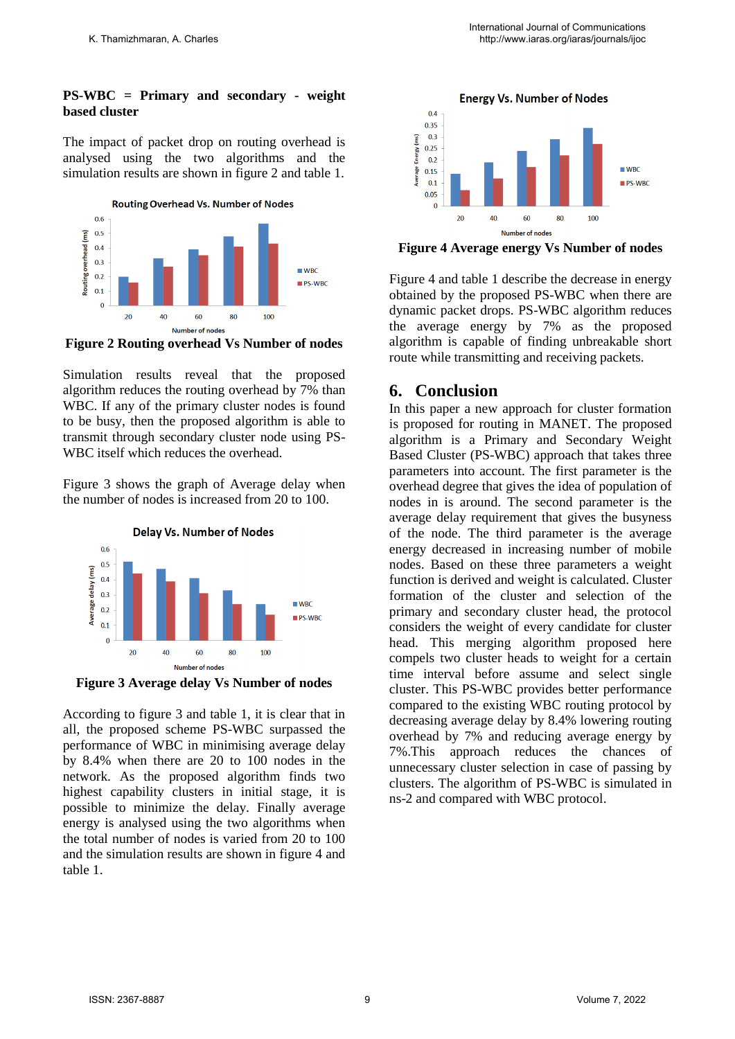#### **PS-WBC = Primary and secondary - weight based cluster**

The impact of packet drop on routing overhead is analysed using the two algorithms and the simulation results are shown in figure 2 and table 1.



**Figure 2 Routing overhead Vs Number of nodes** 

Simulation results reveal that the proposed algorithm reduces the routing overhead by 7% than WBC. If any of the primary cluster nodes is found to be busy, then the proposed algorithm is able to transmit through secondary cluster node using PS-WBC itself which reduces the overhead.

Figure 3 shows the graph of Average delay when the number of nodes is increased from 20 to 100.



**Figure 3 Average delay Vs Number of nodes** 

According to figure 3 and table 1, it is clear that in all, the proposed scheme PS-WBC surpassed the performance of WBC in minimising average delay by 8.4% when there are 20 to 100 nodes in the network. As the proposed algorithm finds two highest capability clusters in initial stage, it is possible to minimize the delay. Finally average energy is analysed using the two algorithms when the total number of nodes is varied from 20 to 100 and the simulation results are shown in figure 4 and table 1.



**Figure 4 Average energy Vs Number of nodes** 

Figure 4 and table 1 describe the decrease in energy obtained by the proposed PS-WBC when there are dynamic packet drops. PS-WBC algorithm reduces the average energy by 7% as the proposed algorithm is capable of finding unbreakable short route while transmitting and receiving packets.

### **6. Conclusion**

In this paper a new approach for cluster formation is proposed for routing in MANET. The proposed algorithm is a Primary and Secondary Weight Based Cluster (PS-WBC) approach that takes three parameters into account. The first parameter is the overhead degree that gives the idea of population of nodes in is around. The second parameter is the average delay requirement that gives the busyness of the node. The third parameter is the average energy decreased in increasing number of mobile nodes. Based on these three parameters a weight function is derived and weight is calculated. Cluster formation of the cluster and selection of the primary and secondary cluster head, the protocol considers the weight of every candidate for cluster head. This merging algorithm proposed here compels two cluster heads to weight for a certain time interval before assume and select single cluster. This PS-WBC provides better performance compared to the existing WBC routing protocol by decreasing average delay by 8.4% lowering routing overhead by 7% and reducing average energy by 7%.This approach reduces the chances of unnecessary cluster selection in case of passing by clusters. The algorithm of PS-WBC is simulated in ns-2 and compared with WBC protocol.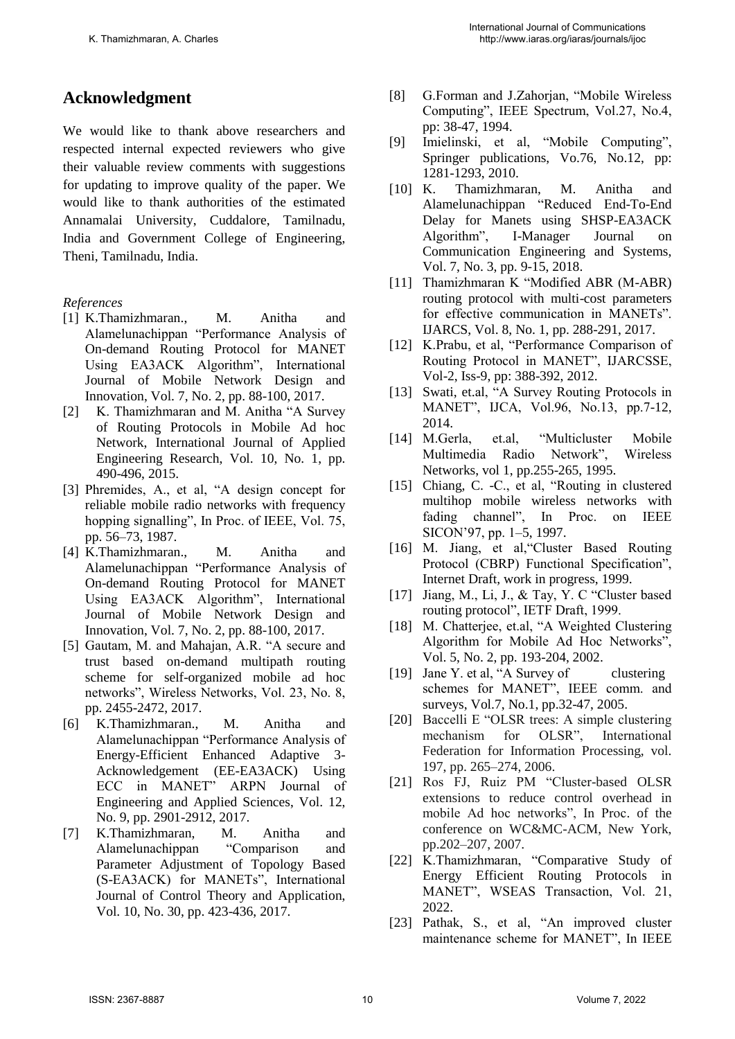# **Acknowledgment**

We would like to thank above researchers and respected internal expected reviewers who give their valuable review comments with suggestions for updating to improve quality of the paper. We would like to thank authorities of the estimated Annamalai University, Cuddalore, Tamilnadu, India and Government College of Engineering, Theni, Tamilnadu, India.

#### *References*

- [1] K.Thamizhmaran., M. Anitha and Alamelunachippan "Performance Analysis of On-demand Routing Protocol for MANET Using EA3ACK Algorithm", International Journal of Mobile Network Design and Innovation, Vol. 7, No. 2, pp. 88-100, 2017.
- [2] K. Thamizhmaran and M. Anitha "A Survey" of Routing Protocols in Mobile Ad hoc Network, International Journal of Applied Engineering Research, Vol. 10, No. 1, pp. 490-496, 2015.
- [3] Phremides, A., et al, "A design concept for reliable mobile radio networks with frequency hopping signalling", In Proc. of IEEE, Vol. 75, pp. 56–73, 1987.
- [4] K.Thamizhmaran., M. Anitha and Alamelunachippan "Performance Analysis of On-demand Routing Protocol for MANET Using EA3ACK Algorithm", International Journal of Mobile Network Design and Innovation, Vol. 7, No. 2, pp. 88-100, 2017.
- [5] Gautam, M. and Mahajan, A.R. "A secure and trust based on-demand multipath routing scheme for self-organized mobile ad hoc networks", Wireless Networks, Vol. 23, No. 8, pp. 2455-2472, 2017.
- [6] K.Thamizhmaran., M. Anitha and Alamelunachippan "Performance Analysis of Energy-Efficient Enhanced Adaptive 3- Acknowledgement (EE-EA3ACK) Using ECC in MANET" ARPN Journal of Engineering and Applied Sciences, Vol. 12, No. 9, pp. 2901-2912, 2017.
- [7] K.Thamizhmaran, M. Anitha and Alamelunachippan "Comparison and Parameter Adjustment of Topology Based (S-EA3ACK) for MANETs", International Journal of Control Theory and Application, Vol. 10, No. 30, pp. 423-436, 2017.
- [8] G.Forman and J.Zahorjan, "Mobile Wireless Computing", IEEE Spectrum, Vol.27, No.4, pp: 38-47, 1994.
- [9] Imielinski, et al, "Mobile Computing", Springer publications, Vo.76, No.12, pp: 1281-1293, 2010.
- [10] K. Thamizhmaran, M. Anitha and Alamelunachippan "Reduced End-To-End Delay for Manets using SHSP-EA3ACK Algorithm", I-Manager Journal on Communication Engineering and Systems, Vol. 7, No. 3, pp. 9-15, 2018.
- [11] Thamizhmaran K "Modified ABR (M-ABR) routing protocol with multi-cost parameters for effective communication in MANETs". IJARCS, Vol. 8, No. 1, pp. 288-291, 2017.
- [12] K.Prabu, et al, "Performance Comparison of Routing Protocol in MANET", IJARCSSE, Vol-2, Iss-9, pp: 388-392, 2012.
- [13] Swati, et.al, "A Survey Routing Protocols in MANET", IJCA, Vol.96, No.13, pp.7-12, 2014.
- [14] M.Gerla, et.al, "Multicluster Mobile Multimedia Radio Network", Wireless Networks, vol 1, pp.255-265, 1995.
- [15] Chiang, C. -C., et al, "Routing in clustered multihop mobile wireless networks with fading channel", In Proc. on IEEE SICON'97, pp. 1–5, 1997.
- [16] M. Jiang, et al, "Cluster Based Routing Protocol (CBRP) Functional Specification", Internet Draft, work in progress, 1999.
- [17] Jiang, M., Li, J., & Tay, Y. C "Cluster based routing protocol", IETF Draft, 1999.
- [18] M. Chatterjee, et.al, "A Weighted Clustering Algorithm for Mobile Ad Hoc Networks", Vol. 5, No. 2, pp. 193-204, 2002.
- [19] Jane Y. et al, "A Survey of clustering schemes for MANET", IEEE comm. and surveys, Vol.7, No.1, pp.32-47, 2005.
- [20] Baccelli E "OLSR trees: A simple clustering mechanism for OLSR", International Federation for Information Processing, vol. 197, pp. 265–274, 2006.
- [21] Ros FJ, Ruiz PM "Cluster-based OLSR extensions to reduce control overhead in mobile Ad hoc networks", In Proc. of the conference on WC&MC-ACM, New York, pp.202–207, 2007.
- [22] K.Thamizhmaran, "Comparative Study of Energy Efficient Routing Protocols in MANET", WSEAS Transaction, Vol. 21, 2022.
- [23] Pathak, S., et al, "An improved cluster maintenance scheme for MANET", In IEEE